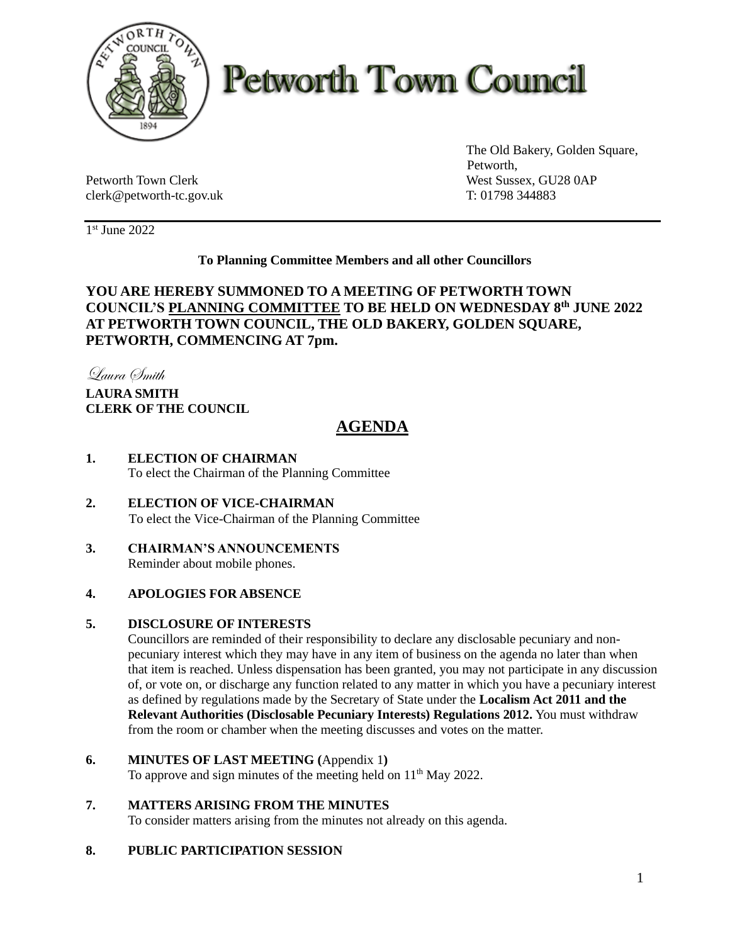

# **Petworth Town Council**

Petworth Town Clerk West Sussex, GU28 0AP clerk@petworth-tc.gov.uk T: 01798 344883

The Old Bakery, Golden Square, Petworth,

1 st June 2022

#### **To Planning Committee Members and all other Councillors**

#### **YOU ARE HEREBY SUMMONED TO A MEETING OF PETWORTH TOWN COUNCIL'S PLANNING COMMITTEE TO BE HELD ON WEDNESDAY 8 th JUNE 2022 AT PETWORTH TOWN COUNCIL, THE OLD BAKERY, GOLDEN SQUARE, PETWORTH, COMMENCING AT 7pm.**

Laura Smith

### **LAURA SMITH CLERK OF THE COUNCIL**

## **AGENDA**

- **1. ELECTION OF CHAIRMAN** To elect the Chairman of the Planning Committee
- **2. ELECTION OF VICE-CHAIRMAN** To elect the Vice-Chairman of the Planning Committee
- **3. CHAIRMAN'S ANNOUNCEMENTS** Reminder about mobile phones.

#### **4. APOLOGIES FOR ABSENCE**

#### **5. DISCLOSURE OF INTERESTS**

Councillors are reminded of their responsibility to declare any disclosable pecuniary and nonpecuniary interest which they may have in any item of business on the agenda no later than when that item is reached. Unless dispensation has been granted, you may not participate in any discussion of, or vote on, or discharge any function related to any matter in which you have a pecuniary interest as defined by regulations made by the Secretary of State under the **Localism Act 2011 and the Relevant Authorities (Disclosable Pecuniary Interests) Regulations 2012.** You must withdraw from the room or chamber when the meeting discusses and votes on the matter.

- **6. MINUTES OF LAST MEETING (**Appendix 1**)** To approve and sign minutes of the meeting held on  $11<sup>th</sup>$  May 2022.
- **7. MATTERS ARISING FROM THE MINUTES** To consider matters arising from the minutes not already on this agenda.

#### **8. PUBLIC PARTICIPATION SESSION**